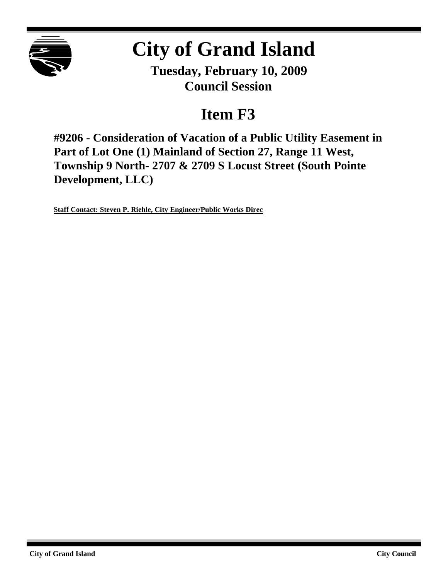

# **City of Grand Island**

**Tuesday, February 10, 2009 Council Session**

## **Item F3**

**#9206 - Consideration of Vacation of a Public Utility Easement in Part of Lot One (1) Mainland of Section 27, Range 11 West, Township 9 North- 2707 & 2709 S Locust Street (South Pointe Development, LLC)**

**Staff Contact: Steven P. Riehle, City Engineer/Public Works Direc**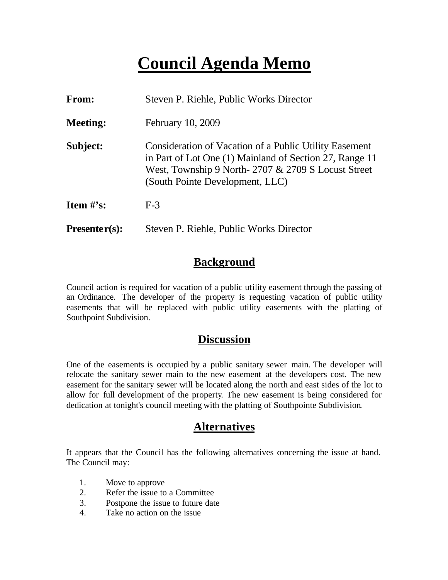## **Council Agenda Memo**

| From:           | Steven P. Riehle, Public Works Director                                                                                                                                                                    |
|-----------------|------------------------------------------------------------------------------------------------------------------------------------------------------------------------------------------------------------|
| <b>Meeting:</b> | February 10, 2009                                                                                                                                                                                          |
| Subject:        | Consideration of Vacation of a Public Utility Easement<br>in Part of Lot One (1) Mainland of Section 27, Range 11<br>West, Township 9 North-2707 & 2709 S Locust Street<br>(South Pointe Development, LLC) |
| Item $#$ 's:    | $F-3$                                                                                                                                                                                                      |
| $Presenter(s):$ | Steven P. Riehle, Public Works Director                                                                                                                                                                    |

### **Background**

Council action is required for vacation of a public utility easement through the passing of an Ordinance. The developer of the property is requesting vacation of public utility easements that will be replaced with public utility easements with the platting of Southpoint Subdivision.

## **Discussion**

One of the easements is occupied by a public sanitary sewer main. The developer will relocate the sanitary sewer main to the new easement at the developers cost. The new easement for the sanitary sewer will be located along the north and east sides of the lot to allow for full development of the property. The new easement is being considered for dedication at tonight's council meeting with the platting of Southpointe Subdivision.

## **Alternatives**

It appears that the Council has the following alternatives concerning the issue at hand. The Council may:

- 1. Move to approve
- 2. Refer the issue to a Committee
- 3. Postpone the issue to future date
- 4. Take no action on the issue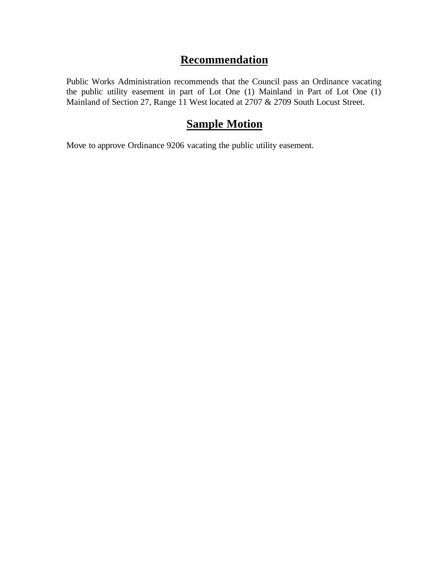## **Recommendation**

Public Works Administration recommends that the Council pass an Ordinance vacating the public utility easement in part of Lot One (1) Mainland in Part of Lot One (1) Mainland of Section 27, Range 11 West located at 2707 & 2709 South Locust Street.

### **Sample Motion**

Move to approve Ordinance 9206 vacating the public utility easement.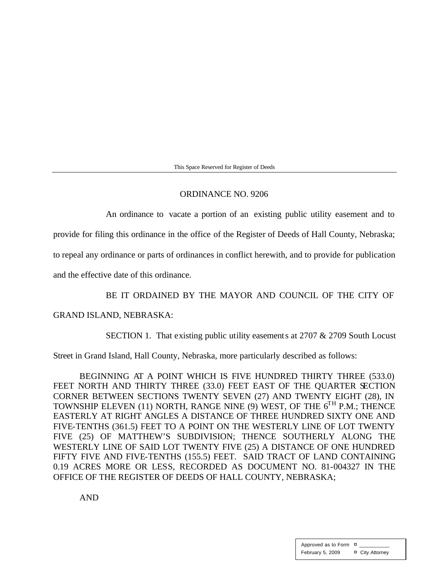This Space Reserved for Register of Deeds

#### ORDINANCE NO. 9206

An ordinance to vacate a portion of an existing public utility easement and to

provide for filing this ordinance in the office of the Register of Deeds of Hall County, Nebraska;

to repeal any ordinance or parts of ordinances in conflict herewith, and to provide for publication

and the effective date of this ordinance.

#### BE IT ORDAINED BY THE MAYOR AND COUNCIL OF THE CITY OF

#### GRAND ISLAND, NEBRASKA:

SECTION 1. That existing public utility easements at 2707 & 2709 South Locust

Street in Grand Island, Hall County, Nebraska, more particularly described as follows:

BEGINNING AT A POINT WHICH IS FIVE HUNDRED THIRTY THREE (533.0) FEET NORTH AND THIRTY THREE (33.0) FEET EAST OF THE QUARTER SECTION CORNER BETWEEN SECTIONS TWENTY SEVEN (27) AND TWENTY EIGHT (28), IN TOWNSHIP ELEVEN (11) NORTH, RANGE NINE (9) WEST, OF THE  $6<sup>TH</sup>$  P.M.; THENCE EASTERLY AT RIGHT ANGLES A DISTANCE OF THREE HUNDRED SIXTY ONE AND FIVE-TENTHS (361.5) FEET TO A POINT ON THE WESTERLY LINE OF LOT TWENTY FIVE (25) OF MATTHEW'S SUBDIVISION; THENCE SOUTHERLY ALONG THE WESTERLY LINE OF SAID LOT TWENTY FIVE (25) A DISTANCE OF ONE HUNDRED FIFTY FIVE AND FIVE-TENTHS (155.5) FEET. SAID TRACT OF LAND CONTAINING 0.19 ACRES MORE OR LESS, RECORDED AS DOCUMENT NO. 81-004327 IN THE OFFICE OF THE REGISTER OF DEEDS OF HALL COUNTY, NEBRASKA;

AND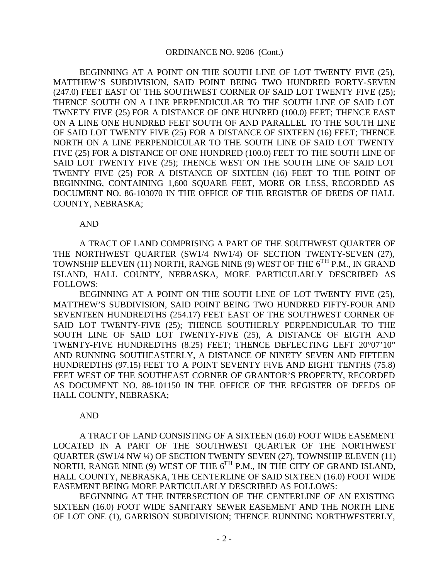#### ORDINANCE NO. 9206 (Cont.)

BEGINNING AT A POINT ON THE SOUTH LINE OF LOT TWENTY FIVE (25), MATTHEW'S SUBDIVISION, SAID POINT BEING TWO HUNDRED FORTY-SEVEN (247.0) FEET EAST OF THE SOUTHWEST CORNER OF SAID LOT TWENTY FIVE (25); THENCE SOUTH ON A LINE PERPENDICULAR TO THE SOUTH LINE OF SAID LOT TWNETY FIVE (25) FOR A DISTANCE OF ONE HUNRED (100.0) FEET; THENCE EAST ON A LINE ONE HUNDRED FEET SOUTH OF AND PARALLEL TO THE SOUTH LINE OF SAID LOT TWENTY FIVE (25) FOR A DISTANCE OF SIXTEEN (16) FEET; THENCE NORTH ON A LINE PERPENDICULAR TO THE SOUTH LINE OF SAID LOT TWENTY FIVE (25) FOR A DISTANCE OF ONE HUNDRED (100.0) FEET TO THE SOUTH LINE OF SAID LOT TWENTY FIVE (25); THENCE WEST ON THE SOUTH LINE OF SAID LOT TWENTY FIVE (25) FOR A DISTANCE OF SIXTEEN (16) FEET TO THE POINT OF BEGINNING, CONTAINING 1,600 SQUARE FEET, MORE OR LESS, RECORDED AS DOCUMENT NO. 86-103070 IN THE OFFICE OF THE REGISTER OF DEEDS OF HALL COUNTY, NEBRASKA;

#### AND

A TRACT OF LAND COMPRISING A PART OF THE SOUTHWEST QUARTER OF THE NORTHWEST QUARTER (SW1/4 NW1/4) OF SECTION TWENTY-SEVEN (27), TOWNSHIP ELEVEN (11) NORTH, RANGE NINE (9) WEST OF THE  $6^{TH}$  P.M., IN GRAND ISLAND, HALL COUNTY, NEBRASKA, MORE PARTICULARLY DESCRIBED AS FOLLOWS:

BEGINNING AT A POINT ON THE SOUTH LINE OF LOT TWENTY FIVE (25), MATTHEW'S SUBDIVISION, SAID POINT BEING TWO HUNDRED FIFTY-FOUR AND SEVENTEEN HUNDREDTHS (254.17) FEET EAST OF THE SOUTHWEST CORNER OF SAID LOT TWENTY-FIVE (25); THENCE SOUTHERLY PERPENDICULAR TO THE SOUTH LINE OF SAID LOT TWENTY-FIVE (25), A DISTANCE OF EIGTH AND TWENTY-FIVE HUNDREDTHS (8.25) FEET; THENCE DEFLECTING LEFT 20°07'10" AND RUNNING SOUTHEASTERLY, A DISTANCE OF NINETY SEVEN AND FIFTEEN HUNDREDTHS (97.15) FEET TO A POINT SEVENTY FIVE AND EIGHT TENTHS (75.8) FEET WEST OF THE SOUTHEAST CORNER OF GRANTOR'S PROPERTY, RECORDED AS DOCUMENT NO. 88-101150 IN THE OFFICE OF THE REGISTER OF DEEDS OF HALL COUNTY, NEBRASKA;

#### AND

A TRACT OF LAND CONSISTING OF A SIXTEEN (16.0) FOOT WIDE EASEMENT LOCATED IN A PART OF THE SOUTHWEST QUARTER OF THE NORTHWEST QUARTER (SW1/4 NW ¼) OF SECTION TWENTY SEVEN (27), TOWNSHIP ELEVEN (11) NORTH, RANGE NINE (9) WEST OF THE  $6^{TH}$  P.M., IN THE CITY OF GRAND ISLAND, HALL COUNTY, NEBRASKA, THE CENTERLINE OF SAID SIXTEEN (16.0) FOOT WIDE EASEMENT BEING MORE PARTICULARLY DESCRIBED AS FOLLOWS:

BEGINNING AT THE INTERSECTION OF THE CENTERLINE OF AN EXISTING SIXTEEN (16.0) FOOT WIDE SANITARY SEWER EASEMENT AND THE NORTH LINE OF LOT ONE (1), GARRISON SUBDIVISION; THENCE RUNNING NORTHWESTERLY,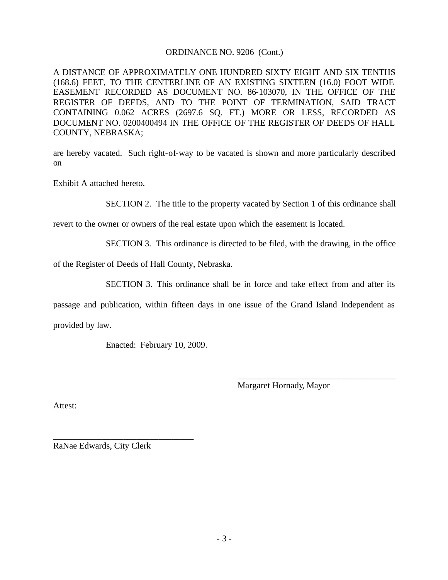#### ORDINANCE NO. 9206 (Cont.)

A DISTANCE OF APPROXIMATELY ONE HUNDRED SIXTY EIGHT AND SIX TENTHS (168.6) FEET, TO THE CENTERLINE OF AN EXISTING SIXTEEN (16.0) FOOT WIDE EASEMENT RECORDED AS DOCUMENT NO. 86-103070, IN THE OFFICE OF THE REGISTER OF DEEDS, AND TO THE POINT OF TERMINATION, SAID TRACT CONTAINING 0.062 ACRES (2697.6 SQ. FT.) MORE OR LESS, RECORDED AS DOCUMENT NO. 0200400494 IN THE OFFICE OF THE REGISTER OF DEEDS OF HALL COUNTY, NEBRASKA;

are hereby vacated. Such right-of-way to be vacated is shown and more particularly described on

Exhibit A attached hereto.

SECTION 2. The title to the property vacated by Section 1 of this ordinance shall

revert to the owner or owners of the real estate upon which the easement is located.

SECTION 3. This ordinance is directed to be filed, with the drawing, in the office

of the Register of Deeds of Hall County, Nebraska.

SECTION 3. This ordinance shall be in force and take effect from and after its

passage and publication, within fifteen days in one issue of the Grand Island Independent as provided by law.

Enacted: February 10, 2009.

Margaret Hornady, Mayor

\_\_\_\_\_\_\_\_\_\_\_\_\_\_\_\_\_\_\_\_\_\_\_\_\_\_\_\_\_\_\_\_\_\_\_\_

Attest:

RaNae Edwards, City Clerk

\_\_\_\_\_\_\_\_\_\_\_\_\_\_\_\_\_\_\_\_\_\_\_\_\_\_\_\_\_\_\_\_